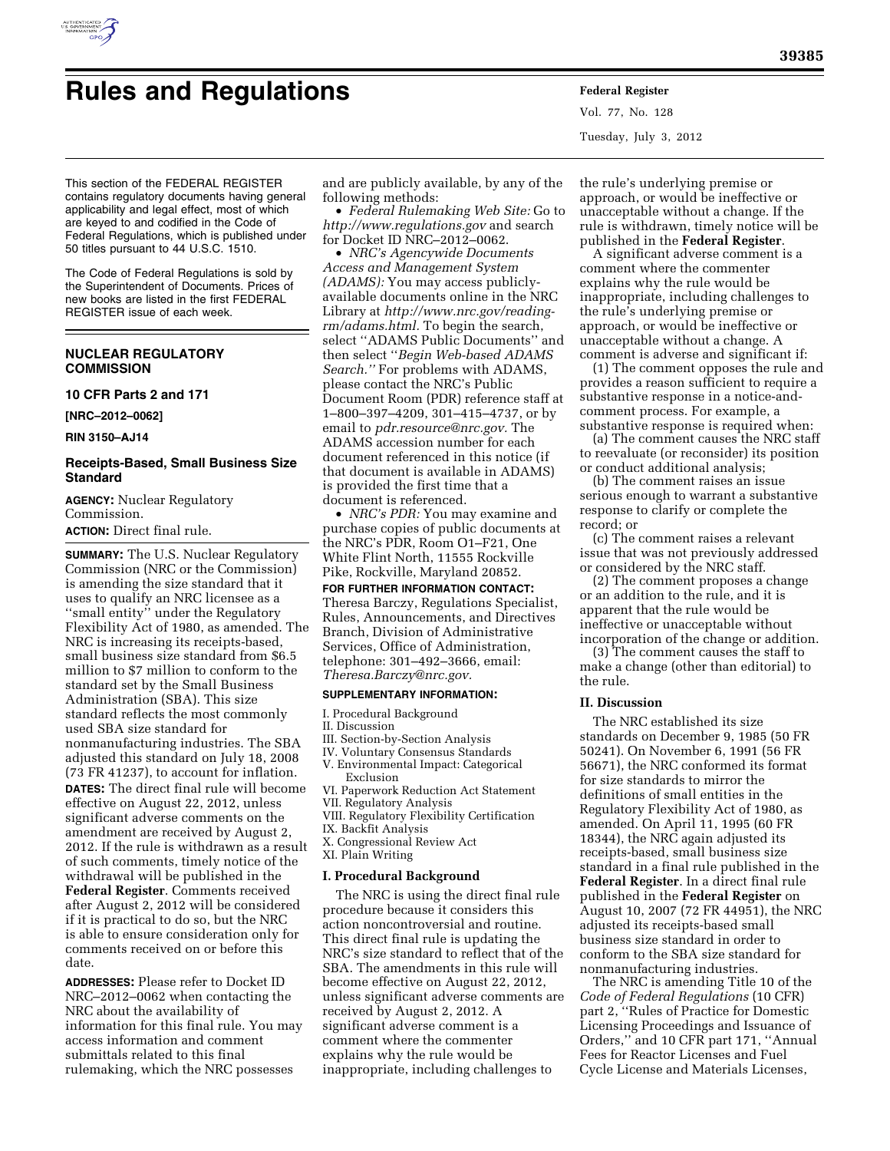

# **Rules and Regulations Federal Register**

Vol. 77, No. 128 Tuesday, July 3, 2012

This section of the FEDERAL REGISTER contains regulatory documents having general applicability and legal effect, most of which are keyed to and codified in the Code of Federal Regulations, which is published under 50 titles pursuant to 44 U.S.C. 1510.

The Code of Federal Regulations is sold by the Superintendent of Documents. Prices of new books are listed in the first FEDERAL REGISTER issue of each week.

# **NUCLEAR REGULATORY COMMISSION**

## **10 CFR Parts 2 and 171**

**[NRC–2012–0062]** 

**RIN 3150–AJ14** 

# **Receipts-Based, Small Business Size Standard**

**AGENCY:** Nuclear Regulatory Commission. **ACTION:** Direct final rule.

**SUMMARY:** The U.S. Nuclear Regulatory Commission (NRC or the Commission) is amending the size standard that it uses to qualify an NRC licensee as a ''small entity'' under the Regulatory Flexibility Act of 1980, as amended. The NRC is increasing its receipts-based, small business size standard from \$6.5 million to \$7 million to conform to the standard set by the Small Business Administration (SBA). This size standard reflects the most commonly used SBA size standard for nonmanufacturing industries. The SBA adjusted this standard on July 18, 2008 (73 FR 41237), to account for inflation. **DATES:** The direct final rule will become effective on August 22, 2012, unless significant adverse comments on the amendment are received by August 2, 2012. If the rule is withdrawn as a result of such comments, timely notice of the withdrawal will be published in the **Federal Register**. Comments received after August 2, 2012 will be considered if it is practical to do so, but the NRC is able to ensure consideration only for comments received on or before this date.

**ADDRESSES:** Please refer to Docket ID NRC–2012–0062 when contacting the NRC about the availability of information for this final rule. You may access information and comment submittals related to this final rulemaking, which the NRC possesses

and are publicly available, by any of the following methods:

• *Federal Rulemaking Web Site:* Go to *<http://www.regulations.gov>* and search for Docket ID NRC–2012–0062.

• *NRC's Agencywide Documents Access and Management System (ADAMS):* You may access publiclyavailable documents online in the NRC Library at *[http://www.nrc.gov/reading](http://www.nrc.gov/reading-rm/adams.html)[rm/adams.html.](http://www.nrc.gov/reading-rm/adams.html)* To begin the search, select ''ADAMS Public Documents'' and then select ''*Begin Web-based ADAMS Search.''* For problems with ADAMS, please contact the NRC's Public Document Room (PDR) reference staff at 1–800–397–4209, 301–415–4737, or by email to *[pdr.resource@nrc.gov.](mailto:pdr.resource@nrc.gov)* The ADAMS accession number for each document referenced in this notice (if that document is available in ADAMS) is provided the first time that a document is referenced.

• *NRC's PDR:* You may examine and purchase copies of public documents at the NRC's PDR, Room O1–F21, One White Flint North, 11555 Rockville Pike, Rockville, Maryland 20852.

## **FOR FURTHER INFORMATION CONTACT:**

Theresa Barczy, Regulations Specialist, Rules, Announcements, and Directives Branch, Division of Administrative Services, Office of Administration, telephone: 301–492–3666, email: *[Theresa.Barczy@nrc.gov.](mailto:Theresa.Barczy@nrc.gov)* 

# **SUPPLEMENTARY INFORMATION:**

I. Procedural Background

#### II. Discussion

- III. Section-by-Section Analysis
- IV. Voluntary Consensus Standards
- V. Environmental Impact: Categorical Exclusion
- VI. Paperwork Reduction Act Statement
- VII. Regulatory Analysis
- VIII. Regulatory Flexibility Certification IX. Backfit Analysis
- X. Congressional Review Act
- XI. Plain Writing

#### **I. Procedural Background**

The NRC is using the direct final rule procedure because it considers this action noncontroversial and routine. This direct final rule is updating the NRC's size standard to reflect that of the SBA. The amendments in this rule will become effective on August 22, 2012, unless significant adverse comments are received by August 2, 2012. A significant adverse comment is a comment where the commenter explains why the rule would be inappropriate, including challenges to

the rule's underlying premise or approach, or would be ineffective or unacceptable without a change. If the rule is withdrawn, timely notice will be published in the **Federal Register**.

A significant adverse comment is a comment where the commenter explains why the rule would be inappropriate, including challenges to the rule's underlying premise or approach, or would be ineffective or unacceptable without a change. A comment is adverse and significant if:

(1) The comment opposes the rule and provides a reason sufficient to require a substantive response in a notice-andcomment process. For example, a substantive response is required when:

(a) The comment causes the NRC staff to reevaluate (or reconsider) its position or conduct additional analysis;

(b) The comment raises an issue serious enough to warrant a substantive response to clarify or complete the record; or

(c) The comment raises a relevant issue that was not previously addressed or considered by the NRC staff.

(2) The comment proposes a change or an addition to the rule, and it is apparent that the rule would be ineffective or unacceptable without incorporation of the change or addition.

(3) The comment causes the staff to make a change (other than editorial) to the rule.

#### **II. Discussion**

The NRC established its size standards on December 9, 1985 (50 FR 50241). On November 6, 1991 (56 FR 56671), the NRC conformed its format for size standards to mirror the definitions of small entities in the Regulatory Flexibility Act of 1980, as amended. On April 11, 1995 (60 FR 18344), the NRC again adjusted its receipts-based, small business size standard in a final rule published in the **Federal Register**. In a direct final rule published in the **Federal Register** on August 10, 2007 (72 FR 44951), the NRC adjusted its receipts-based small business size standard in order to conform to the SBA size standard for nonmanufacturing industries.

The NRC is amending Title 10 of the *Code of Federal Regulations* (10 CFR) part 2, ''Rules of Practice for Domestic Licensing Proceedings and Issuance of Orders,'' and 10 CFR part 171, ''Annual Fees for Reactor Licenses and Fuel Cycle License and Materials Licenses,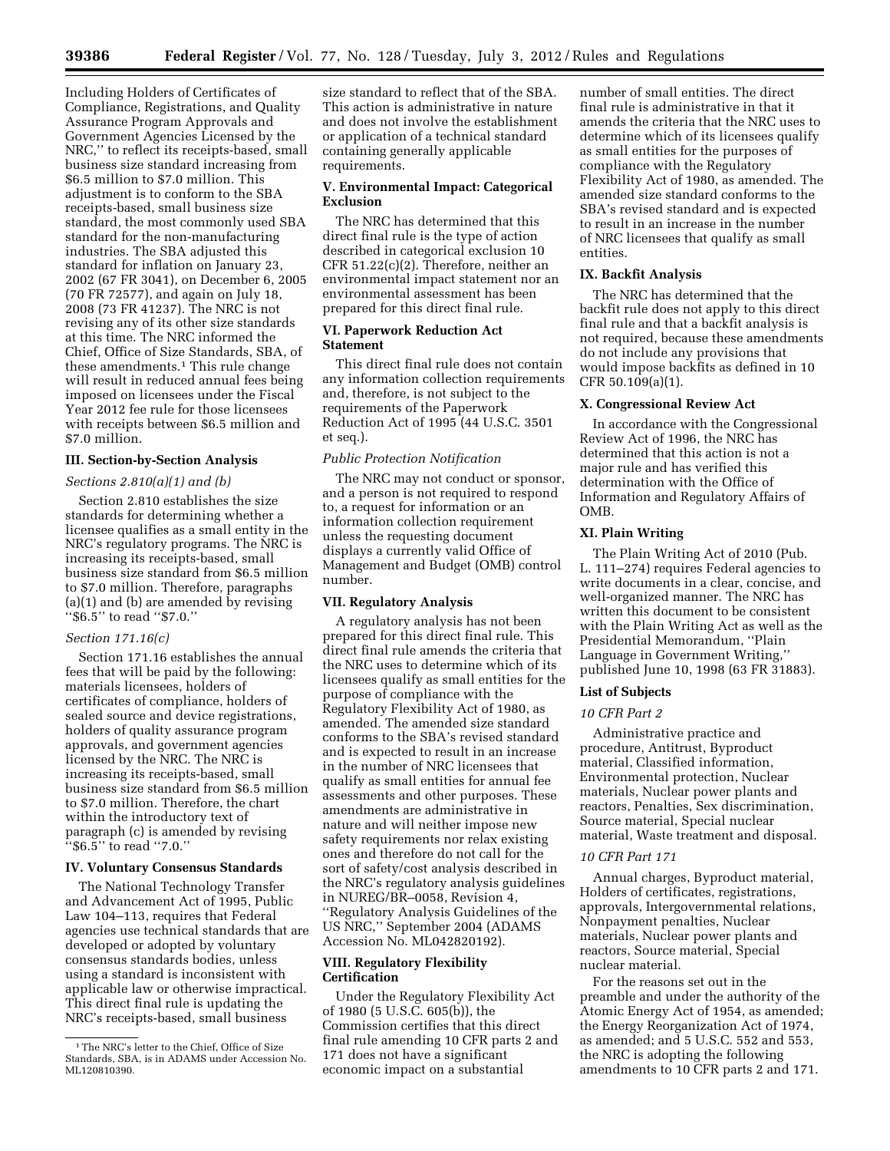Including Holders of Certificates of Compliance, Registrations, and Quality Assurance Program Approvals and Government Agencies Licensed by the NRC,'' to reflect its receipts-based, small business size standard increasing from \$6.5 million to \$7.0 million. This adjustment is to conform to the SBA receipts-based, small business size standard, the most commonly used SBA standard for the non-manufacturing industries. The SBA adjusted this standard for inflation on January 23, 2002 (67 FR 3041), on December 6, 2005 (70 FR 72577), and again on July 18, 2008 (73 FR 41237). The NRC is not revising any of its other size standards at this time. The NRC informed the Chief, Office of Size Standards, SBA, of these amendments.<sup>1</sup> This rule change will result in reduced annual fees being imposed on licensees under the Fiscal Year 2012 fee rule for those licensees with receipts between \$6.5 million and \$7.0 million.

## **III. Section-by-Section Analysis**

#### *Sections 2.810(a)(1) and (b)*

Section 2.810 establishes the size standards for determining whether a licensee qualifies as a small entity in the NRC's regulatory programs. The NRC is increasing its receipts-based, small business size standard from \$6.5 million to \$7.0 million. Therefore, paragraphs (a)(1) and (b) are amended by revising ''\$6.5'' to read ''\$7.0.''

## *Section 171.16(c)*

Section 171.16 establishes the annual fees that will be paid by the following: materials licensees, holders of certificates of compliance, holders of sealed source and device registrations, holders of quality assurance program approvals, and government agencies licensed by the NRC. The NRC is increasing its receipts-based, small business size standard from \$6.5 million to \$7.0 million. Therefore, the chart within the introductory text of paragraph (c) is amended by revising ''\$6.5'' to read ''7.0.''

## **IV. Voluntary Consensus Standards**

The National Technology Transfer and Advancement Act of 1995, Public Law 104–113, requires that Federal agencies use technical standards that are developed or adopted by voluntary consensus standards bodies, unless using a standard is inconsistent with applicable law or otherwise impractical. This direct final rule is updating the NRC's receipts-based, small business

size standard to reflect that of the SBA. This action is administrative in nature and does not involve the establishment or application of a technical standard containing generally applicable requirements.

#### **V. Environmental Impact: Categorical Exclusion**

The NRC has determined that this direct final rule is the type of action described in categorical exclusion 10 CFR 51.22(c)(2). Therefore, neither an environmental impact statement nor an environmental assessment has been prepared for this direct final rule.

## **VI. Paperwork Reduction Act Statement**

This direct final rule does not contain any information collection requirements and, therefore, is not subject to the requirements of the Paperwork Reduction Act of 1995 (44 U.S.C. 3501 et seq.).

## *Public Protection Notification*

The NRC may not conduct or sponsor, and a person is not required to respond to, a request for information or an information collection requirement unless the requesting document displays a currently valid Office of Management and Budget (OMB) control number.

## **VII. Regulatory Analysis**

A regulatory analysis has not been prepared for this direct final rule. This direct final rule amends the criteria that the NRC uses to determine which of its licensees qualify as small entities for the purpose of compliance with the Regulatory Flexibility Act of 1980, as amended. The amended size standard conforms to the SBA's revised standard and is expected to result in an increase in the number of NRC licensees that qualify as small entities for annual fee assessments and other purposes. These amendments are administrative in nature and will neither impose new safety requirements nor relax existing ones and therefore do not call for the sort of safety/cost analysis described in the NRC's regulatory analysis guidelines in NUREG/BR–0058, Revision 4, ''Regulatory Analysis Guidelines of the US NRC,'' September 2004 (ADAMS Accession No. ML042820192).

## **VIII. Regulatory Flexibility Certification**

Under the Regulatory Flexibility Act of 1980 (5 U.S.C. 605(b)), the Commission certifies that this direct final rule amending 10 CFR parts 2 and 171 does not have a significant economic impact on a substantial

number of small entities. The direct final rule is administrative in that it amends the criteria that the NRC uses to determine which of its licensees qualify as small entities for the purposes of compliance with the Regulatory Flexibility Act of 1980, as amended. The amended size standard conforms to the SBA's revised standard and is expected to result in an increase in the number of NRC licensees that qualify as small entities.

#### **IX. Backfit Analysis**

The NRC has determined that the backfit rule does not apply to this direct final rule and that a backfit analysis is not required, because these amendments do not include any provisions that would impose backfits as defined in 10 CFR 50.109(a)(1).

#### **X. Congressional Review Act**

In accordance with the Congressional Review Act of 1996, the NRC has determined that this action is not a major rule and has verified this determination with the Office of Information and Regulatory Affairs of OMB.

#### **XI. Plain Writing**

The Plain Writing Act of 2010 (Pub. L. 111–274) requires Federal agencies to write documents in a clear, concise, and well-organized manner. The NRC has written this document to be consistent with the Plain Writing Act as well as the Presidential Memorandum, ''Plain Language in Government Writing,'' published June 10, 1998 (63 FR 31883).

#### **List of Subjects**

#### *10 CFR Part 2*

Administrative practice and procedure, Antitrust, Byproduct material, Classified information, Environmental protection, Nuclear materials, Nuclear power plants and reactors, Penalties, Sex discrimination, Source material, Special nuclear material, Waste treatment and disposal.

#### *10 CFR Part 171*

Annual charges, Byproduct material, Holders of certificates, registrations, approvals, Intergovernmental relations, Nonpayment penalties, Nuclear materials, Nuclear power plants and reactors, Source material, Special nuclear material.

For the reasons set out in the preamble and under the authority of the Atomic Energy Act of 1954, as amended; the Energy Reorganization Act of 1974, as amended; and 5 U.S.C. 552 and 553, the NRC is adopting the following amendments to 10 CFR parts 2 and 171.

<sup>1</sup>The NRC's letter to the Chief, Office of Size Standards, SBA, is in ADAMS under Accession No. ML120810390.